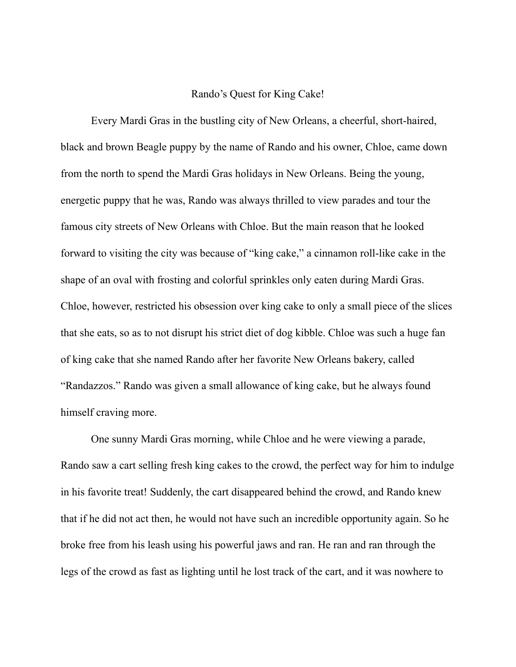## Rando's Quest for King Cake!

Every Mardi Gras in the bustling city of New Orleans, a cheerful, short-haired, black and brown Beagle puppy by the name of Rando and his owner, Chloe, came down from the north to spend the Mardi Gras holidays in New Orleans. Being the young, energetic puppy that he was, Rando was always thrilled to view parades and tour the famous city streets of New Orleans with Chloe. But the main reason that he looked forward to visiting the city was because of "king cake," a cinnamon roll-like cake in the shape of an oval with frosting and colorful sprinkles only eaten during Mardi Gras. Chloe, however, restricted his obsession over king cake to only a small piece of the slices that she eats, so as to not disrupt his strict diet of dog kibble. Chloe was such a huge fan of king cake that she named Rando after her favorite New Orleans bakery, called "Randazzos." Rando was given a small allowance of king cake, but he always found himself craving more.

One sunny Mardi Gras morning, while Chloe and he were viewing a parade, Rando saw a cart selling fresh king cakes to the crowd, the perfect way for him to indulge in his favorite treat! Suddenly, the cart disappeared behind the crowd, and Rando knew that if he did not act then, he would not have such an incredible opportunity again. So he broke free from his leash using his powerful jaws and ran. He ran and ran through the legs of the crowd as fast as lighting until he lost track of the cart, and it was nowhere to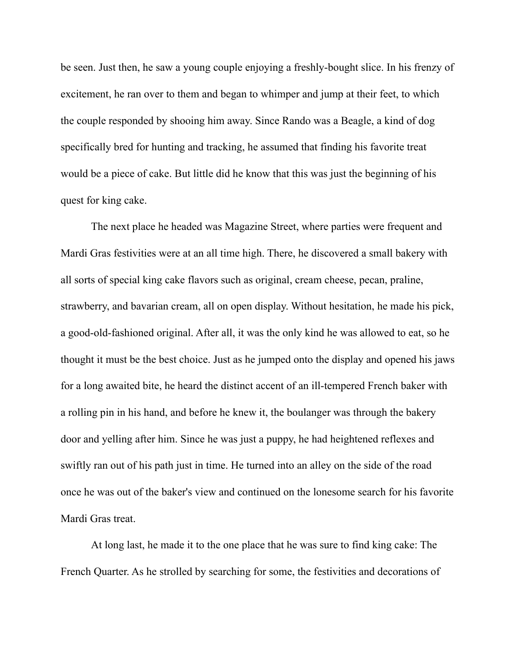be seen. Just then, he saw a young couple enjoying a freshly-bought slice. In his frenzy of excitement, he ran over to them and began to whimper and jump at their feet, to which the couple responded by shooing him away. Since Rando was a Beagle, a kind of dog specifically bred for hunting and tracking, he assumed that finding his favorite treat would be a piece of cake. But little did he know that this was just the beginning of his quest for king cake.

The next place he headed was Magazine Street, where parties were frequent and Mardi Gras festivities were at an all time high. There, he discovered a small bakery with all sorts of special king cake flavors such as original, cream cheese, pecan, praline, strawberry, and bavarian cream, all on open display. Without hesitation, he made his pick, a good-old-fashioned original. After all, it was the only kind he was allowed to eat, so he thought it must be the best choice. Just as he jumped onto the display and opened his jaws for a long awaited bite, he heard the distinct accent of an ill-tempered French baker with a rolling pin in his hand, and before he knew it, the boulanger was through the bakery door and yelling after him. Since he was just a puppy, he had heightened reflexes and swiftly ran out of his path just in time. He turned into an alley on the side of the road once he was out of the baker's view and continued on the lonesome search for his favorite Mardi Gras treat.

At long last, he made it to the one place that he was sure to find king cake: The French Quarter. As he strolled by searching for some, the festivities and decorations of